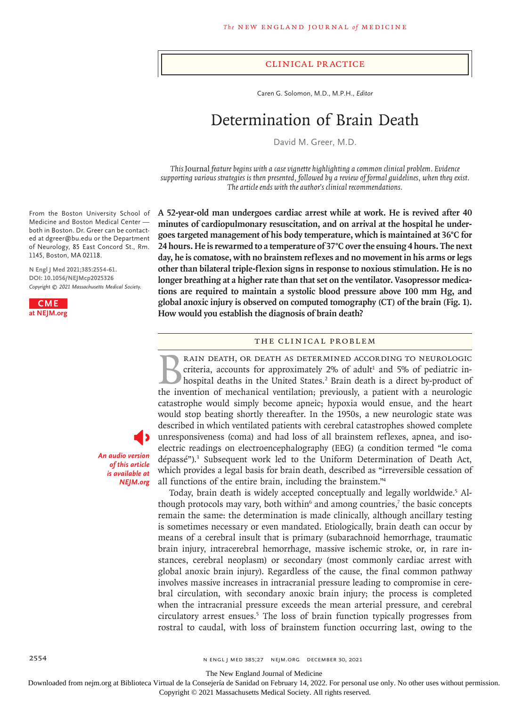#### Clinical Practice

Caren G. Solomon, M.D., M.P.H., *Editor*

# Determination of Brain Death

David M. Greer, M.D.

*This* Journal *feature begins with a case vignette highlighting a common clinical problem. Evidence supporting various strategies is then presented, followed by a review of formal guidelines, when they exist. The article ends with the author's clinical recommendations.*

**A 52-year-old man undergoes cardiac arrest while at work. He is revived after 40 minutes of cardiopulmonary resuscitation, and on arrival at the hospital he undergoes targeted management of his body temperature, which is maintained at 36°C for 24 hours. He is rewarmed to a temperature of 37°C over the ensuing 4 hours. The next day, he is comatose, with no brainstem reflexes and no movement in his arms or legs other than bilateral triple-flexion signs in response to noxious stimulation. He is no longer breathing at a higher rate than that set on the ventilator. Vasopressor medications are required to maintain a systolic blood pressure above 100 mm Hg, and global anoxic injury is observed on computed tomography (CT) of the brain (Fig. 1). How would you establish the diagnosis of brain death?**

#### The Clinical Problem

RAIN DEATH, OR DEATH AS DETERMINED ACCORDING TO NEUROLOGIC criteria, accounts for approximately  $2%$  of adult<sup>1</sup> and 5% of pediatric inhospital deaths in the United States.<sup>2</sup> Brain death is a direct by-product of the invention of mechanical ventilation; previously, a patient with a neurologic catastrophe would simply become apneic; hypoxia would ensue, and the heart would stop beating shortly thereafter. In the 1950s, a new neurologic state was described in which ventilated patients with cerebral catastrophes showed complete unresponsiveness (coma) and had loss of all brainstem reflexes, apnea, and isoelectric readings on electroencephalography (EEG) (a condition termed "le coma dépassé").<sup>3</sup> Subsequent work led to the Uniform Determination of Death Act, which provides a legal basis for brain death, described as "irreversible cessation of all functions of the entire brain, including the brainstem."4

Today, brain death is widely accepted conceptually and legally worldwide.<sup>5</sup> Although protocols may vary, both within $6$  and among countries,<sup>7</sup> the basic concepts remain the same: the determination is made clinically, although ancillary testing is sometimes necessary or even mandated. Etiologically, brain death can occur by means of a cerebral insult that is primary (subarachnoid hemorrhage, traumatic brain injury, intracerebral hemorrhage, massive ischemic stroke, or, in rare instances, cerebral neoplasm) or secondary (most commonly cardiac arrest with global anoxic brain injury). Regardless of the cause, the final common pathway involves massive increases in intracranial pressure leading to compromise in cerebral circulation, with secondary anoxic brain injury; the process is completed when the intracranial pressure exceeds the mean arterial pressure, and cerebral circulatory arrest ensues.5 The loss of brain function typically progresses from rostral to caudal, with loss of brainstem function occurring last, owing to the

From the Boston University School of Medicine and Boston Medical Center both in Boston. Dr. Greer can be contacted at dgreer@bu.edu or the Department of Neurology, 85 East Concord St., Rm. 1145, Boston, MA 02118.

**N Engl J Med 2021;385:2554-61. DOI: 10.1056/NEJMcp2025326** *Copyright © 2021 Massachusetts Medical Society.*



*An audio version of this article is available at NEJM.org*

The New England Journal of Medicine

Downloaded from nejm.org at Biblioteca Virtual de la Consejería de Sanidad on February 14, 2022. For personal use only. No other uses without permission.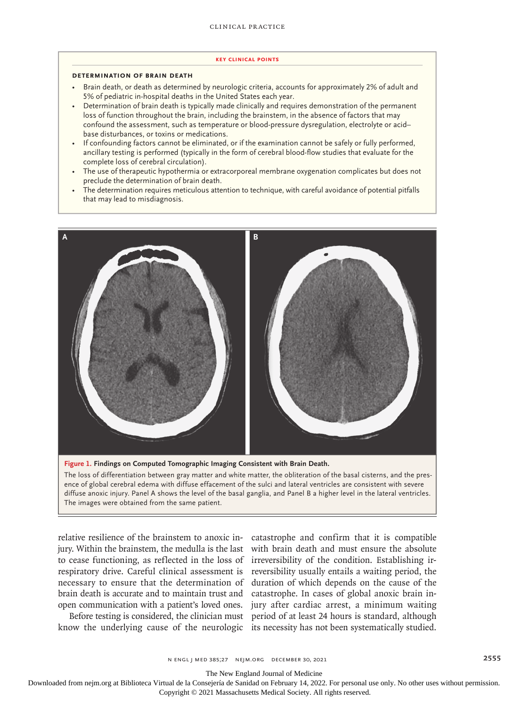#### **Key Clinical Points**

#### **Determination of Brain Death**

- Brain death, or death as determined by neurologic criteria, accounts for approximately 2% of adult and 5% of pediatric in-hospital deaths in the United States each year.
- Determination of brain death is typically made clinically and requires demonstration of the permanent loss of function throughout the brain, including the brainstem, in the absence of factors that may confound the assessment, such as temperature or blood-pressure dysregulation, electrolyte or acid– base disturbances, or toxins or medications.
- If confounding factors cannot be eliminated, or if the examination cannot be safely or fully performed, ancillary testing is performed (typically in the form of cerebral blood-flow studies that evaluate for the complete loss of cerebral circulation).
- The use of therapeutic hypothermia or extracorporeal membrane oxygenation complicates but does not preclude the determination of brain death.
- The determination requires meticulous attention to technique, with careful avoidance of potential pitfalls that may lead to misdiagnosis.



The loss of differentiation between gray matter and white matter, the obliteration of the basal cisterns, and the presence of global cerebral edema with diffuse effacement of the sulci and lateral ventricles are consistent with severe diffuse anoxic injury. Panel A shows the level of the basal ganglia, and Panel B a higher level in the lateral ventricles. The images were obtained from the same patient.

relative resilience of the brainstem to anoxic in-catastrophe and confirm that it is compatible jury. Within the brainstem, the medulla is the last with brain death and must ensure the absolute to cease functioning, as reflected in the loss of irreversibility of the condition. Establishing irrespiratory drive. Careful clinical assessment is reversibility usually entails a waiting period, the necessary to ensure that the determination of duration of which depends on the cause of the brain death is accurate and to maintain trust and catastrophe. In cases of global anoxic brain inopen communication with a patient's loved ones. jury after cardiac arrest, a minimum waiting

Before testing is considered, the clinician must period of at least 24 hours is standard, although

know the underlying cause of the neurologic its necessity has not been systematically studied.

n engl j med 385;27 nejm.org December 30, 2021 2555

The New England Journal of Medicine

Downloaded from nejm.org at Biblioteca Virtual de la Consejería de Sanidad on February 14, 2022. For personal use only. No other uses without permission.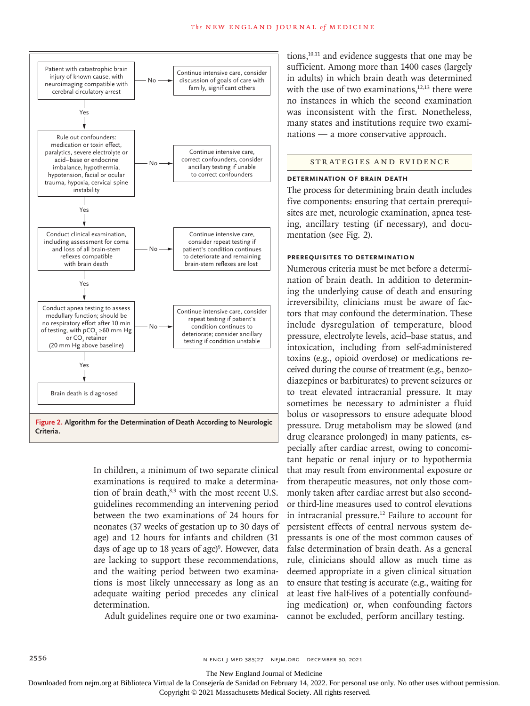

In children, a minimum of two separate clinical examinations is required to make a determination of brain death,<sup>8,9</sup> with the most recent U.S. guidelines recommending an intervening period between the two examinations of 24 hours for neonates (37 weeks of gestation up to 30 days of age) and 12 hours for infants and children (31 days of age up to 18 years of age)<sup>9</sup>. However, data are lacking to support these recommendations, and the waiting period between two examinations is most likely unnecessary as long as an adequate waiting period precedes any clinical determination.

tions, $10,11$  and evidence suggests that one may be sufficient. Among more than 1400 cases (largely in adults) in which brain death was determined with the use of two examinations.<sup>12,13</sup> there were no instances in which the second examination was inconsistent with the first. Nonetheless, many states and institutions require two examinations — a more conservative approach.

# Strategies and Evidence

## **Determination of Brain Death**

The process for determining brain death includes five components: ensuring that certain prerequisites are met, neurologic examination, apnea testing, ancillary testing (if necessary), and documentation (see Fig. 2).

# **Prerequisites to Determination**

Adult guidelines require one or two examina-cannot be excluded, perform ancillary testing. Numerous criteria must be met before a determination of brain death. In addition to determining the underlying cause of death and ensuring irreversibility, clinicians must be aware of factors that may confound the determination. These include dysregulation of temperature, blood pressure, electrolyte levels, acid–base status, and intoxication, including from self-administered toxins (e.g., opioid overdose) or medications received during the course of treatment (e.g., benzodiazepines or barbiturates) to prevent seizures or to treat elevated intracranial pressure. It may sometimes be necessary to administer a fluid bolus or vasopressors to ensure adequate blood pressure. Drug metabolism may be slowed (and drug clearance prolonged) in many patients, especially after cardiac arrest, owing to concomitant hepatic or renal injury or to hypothermia that may result from environmental exposure or from therapeutic measures, not only those commonly taken after cardiac arrest but also secondor third-line measures used to control elevations in intracranial pressure.<sup>12</sup> Failure to account for persistent effects of central nervous system depressants is one of the most common causes of false determination of brain death. As a general rule, clinicians should allow as much time as deemed appropriate in a given clinical situation to ensure that testing is accurate (e.g., waiting for at least five half-lives of a potentially confounding medication) or, when confounding factors

The New England Journal of Medicine

Downloaded from nejm.org at Biblioteca Virtual de la Consejería de Sanidad on February 14, 2022. For personal use only. No other uses without permission.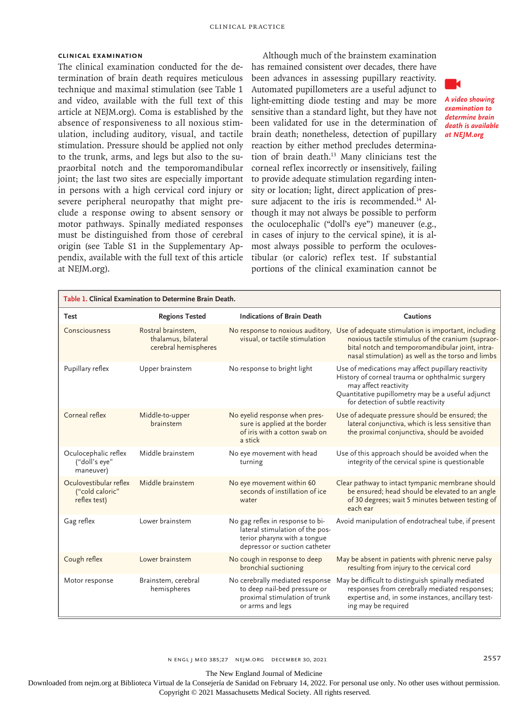# **Clinical Examination**

The clinical examination conducted for the determination of brain death requires meticulous technique and maximal stimulation (see Table 1 and video, available with the full text of this article at NEJM.org). Coma is established by the absence of responsiveness to all noxious stimulation, including auditory, visual, and tactile stimulation. Pressure should be applied not only to the trunk, arms, and legs but also to the supraorbital notch and the temporomandibular joint; the last two sites are especially important in persons with a high cervical cord injury or severe peripheral neuropathy that might preclude a response owing to absent sensory or motor pathways. Spinally mediated responses must be distinguished from those of cerebral origin (see Table S1 in the Supplementary Appendix, available with the full text of this article at NEJM.org).

Although much of the brainstem examination has remained consistent over decades, there have been advances in assessing pupillary reactivity. Automated pupillometers are a useful adjunct to light-emitting diode testing and may be more sensitive than a standard light, but they have not been validated for use in the determination of brain death; nonetheless, detection of pupillary reaction by either method precludes determination of brain death.13 Many clinicians test the corneal reflex incorrectly or insensitively, failing to provide adequate stimulation regarding intensity or location; light, direct application of pressure adjacent to the iris is recommended.<sup>14</sup> Although it may not always be possible to perform the oculocephalic ("doll's eye") maneuver (e.g., in cases of injury to the cervical spine), it is almost always possible to perform the oculovestibular (or caloric) reflex test. If substantial portions of the clinical examination cannot be



*A video showing examination to determine brain death is available at NEJM.org*

| Table 1. Clinical Examination to Determine Brain Death.   |                                                                   |                                                                                                                                      |                                                                                                                                                                                                                           |
|-----------------------------------------------------------|-------------------------------------------------------------------|--------------------------------------------------------------------------------------------------------------------------------------|---------------------------------------------------------------------------------------------------------------------------------------------------------------------------------------------------------------------------|
| Test                                                      | <b>Regions Tested</b>                                             | <b>Indications of Brain Death</b>                                                                                                    | Cautions                                                                                                                                                                                                                  |
| Consciousness                                             | Rostral brainstem,<br>thalamus, bilateral<br>cerebral hemispheres | No response to noxious auditory,<br>visual, or tactile stimulation                                                                   | Use of adequate stimulation is important, including<br>noxious tactile stimulus of the cranium (supraor-<br>bital notch and temporomandibular joint, intra-<br>nasal stimulation) as well as the torso and limbs          |
| Pupillary reflex                                          | Upper brainstem                                                   | No response to bright light                                                                                                          | Use of medications may affect pupillary reactivity<br>History of corneal trauma or ophthalmic surgery<br>may affect reactivity<br>Quantitative pupillometry may be a useful adjunct<br>for detection of subtle reactivity |
| Corneal reflex                                            | Middle-to-upper<br>brainstem                                      | No eyelid response when pres-<br>sure is applied at the border<br>of iris with a cotton swab on<br>a stick                           | Use of adequate pressure should be ensured; the<br>lateral conjunctiva, which is less sensitive than<br>the proximal conjunctiva, should be avoided                                                                       |
| Oculocephalic reflex<br>("doll's eye"<br>maneuver)        | Middle brainstem                                                  | No eye movement with head<br>turning                                                                                                 | Use of this approach should be avoided when the<br>integrity of the cervical spine is questionable                                                                                                                        |
| Oculovestibular reflex<br>("cold caloric"<br>reflex test) | Middle brainstem                                                  | No eye movement within 60<br>seconds of instillation of ice<br>water                                                                 | Clear pathway to intact tympanic membrane should<br>be ensured; head should be elevated to an angle<br>of 30 degrees; wait 5 minutes between testing of<br>each ear                                                       |
| Gag reflex                                                | Lower brainstem                                                   | No gag reflex in response to bi-<br>lateral stimulation of the pos-<br>terior pharynx with a tongue<br>depressor or suction catheter | Avoid manipulation of endotracheal tube, if present                                                                                                                                                                       |
| Cough reflex                                              | Lower brainstem                                                   | No cough in response to deep<br>bronchial suctioning                                                                                 | May be absent in patients with phrenic nerve palsy<br>resulting from injury to the cervical cord                                                                                                                          |
| Motor response                                            | Brainstem, cerebral<br>hemispheres                                | No cerebrally mediated response<br>to deep nail-bed pressure or<br>proximal stimulation of trunk<br>or arms and legs                 | May be difficult to distinguish spinally mediated<br>responses from cerebrally mediated responses;<br>expertise and, in some instances, ancillary test-<br>ing may be required                                            |

n engl j med 385;27 nejm.org December 30, 2021 2557

The New England Journal of Medicine

Downloaded from nejm.org at Biblioteca Virtual de la Consejería de Sanidad on February 14, 2022. For personal use only. No other uses without permission. Copyright © 2021 Massachusetts Medical Society. All rights reserved.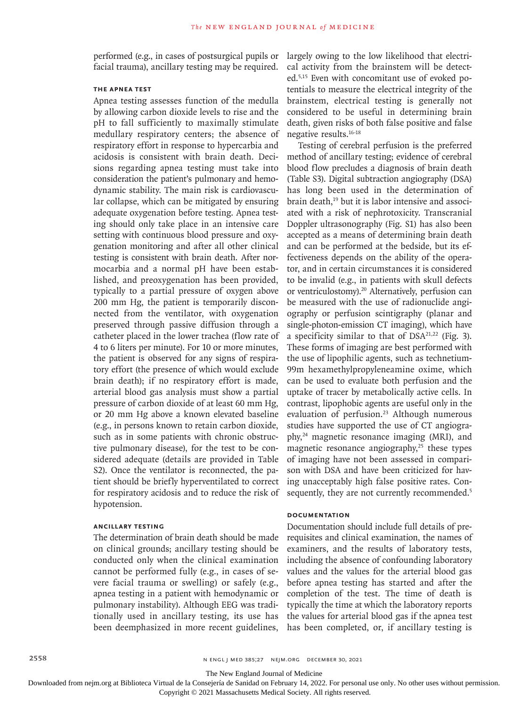performed (e.g., in cases of postsurgical pupils or facial trauma), ancillary testing may be required.

# **The Apnea Test**

Apnea testing assesses function of the medulla by allowing carbon dioxide levels to rise and the pH to fall sufficiently to maximally stimulate medullary respiratory centers; the absence of respiratory effort in response to hypercarbia and acidosis is consistent with brain death. Decisions regarding apnea testing must take into consideration the patient's pulmonary and hemodynamic stability. The main risk is cardiovascular collapse, which can be mitigated by ensuring adequate oxygenation before testing. Apnea testing should only take place in an intensive care setting with continuous blood pressure and oxygenation monitoring and after all other clinical testing is consistent with brain death. After normocarbia and a normal pH have been established, and preoxygenation has been provided, typically to a partial pressure of oxygen above 200 mm Hg, the patient is temporarily disconnected from the ventilator, with oxygenation preserved through passive diffusion through a catheter placed in the lower trachea (flow rate of 4 to 6 liters per minute). For 10 or more minutes, the patient is observed for any signs of respiratory effort (the presence of which would exclude brain death); if no respiratory effort is made, arterial blood gas analysis must show a partial pressure of carbon dioxide of at least 60 mm Hg, or 20 mm Hg above a known elevated baseline (e.g., in persons known to retain carbon dioxide, such as in some patients with chronic obstructive pulmonary disease), for the test to be considered adequate (details are provided in Table S2). Once the ventilator is reconnected, the patient should be briefly hyperventilated to correct for respiratory acidosis and to reduce the risk of hypotension.

# **Ancillary Testing**

The determination of brain death should be made on clinical grounds; ancillary testing should be conducted only when the clinical examination cannot be performed fully (e.g., in cases of severe facial trauma or swelling) or safely (e.g., apnea testing in a patient with hemodynamic or pulmonary instability). Although EEG was traditionally used in ancillary testing, its use has been deemphasized in more recent guidelines,

largely owing to the low likelihood that electrical activity from the brainstem will be detected.5,15 Even with concomitant use of evoked potentials to measure the electrical integrity of the brainstem, electrical testing is generally not considered to be useful in determining brain death, given risks of both false positive and false negative results.16-18

Testing of cerebral perfusion is the preferred method of ancillary testing; evidence of cerebral blood flow precludes a diagnosis of brain death (Table S3). Digital subtraction angiography (DSA) has long been used in the determination of brain death,<sup>19</sup> but it is labor intensive and associated with a risk of nephrotoxicity. Transcranial Doppler ultrasonography (Fig. S1) has also been accepted as a means of determining brain death and can be performed at the bedside, but its effectiveness depends on the ability of the operator, and in certain circumstances it is considered to be invalid (e.g., in patients with skull defects or ventriculostomy).20 Alternatively, perfusion can be measured with the use of radionuclide angiography or perfusion scintigraphy (planar and single-photon-emission CT imaging), which have a specificity similar to that of  $DSA^{21,22}$  (Fig. 3). These forms of imaging are best performed with the use of lipophilic agents, such as technetium-99m hexamethylpropyleneamine oxime, which can be used to evaluate both perfusion and the uptake of tracer by metabolically active cells. In contrast, lipophobic agents are useful only in the evaluation of perfusion.<sup>23</sup> Although numerous studies have supported the use of CT angiography,24 magnetic resonance imaging (MRI), and magnetic resonance angiography, $25$  these types of imaging have not been assessed in comparison with DSA and have been criticized for having unacceptably high false positive rates. Consequently, they are not currently recommended.<sup>5</sup>

## **Documentation**

Documentation should include full details of prerequisites and clinical examination, the names of examiners, and the results of laboratory tests, including the absence of confounding laboratory values and the values for the arterial blood gas before apnea testing has started and after the completion of the test. The time of death is typically the time at which the laboratory reports the values for arterial blood gas if the apnea test has been completed, or, if ancillary testing is

The New England Journal of Medicine

Downloaded from nejm.org at Biblioteca Virtual de la Consejería de Sanidad on February 14, 2022. For personal use only. No other uses without permission.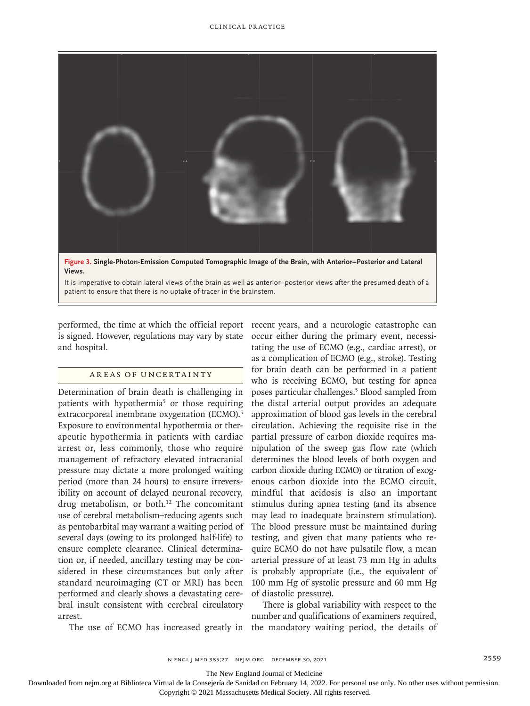

**Views.**

It is imperative to obtain lateral views of the brain as well as anterior–posterior views after the presumed death of a patient to ensure that there is no uptake of tracer in the brainstem.

performed, the time at which the official report recent years, and a neurologic catastrophe can is signed. However, regulations may vary by state and hospital.

# Areas of Uncertainty

Determination of brain death is challenging in patients with hypothermia<sup>5</sup> or those requiring extracorporeal membrane oxygenation (ECMO).<sup>5</sup> Exposure to environmental hypothermia or therapeutic hypothermia in patients with cardiac arrest or, less commonly, those who require management of refractory elevated intracranial pressure may dictate a more prolonged waiting period (more than 24 hours) to ensure irreversibility on account of delayed neuronal recovery, drug metabolism, or both. $12$  The concomitant use of cerebral metabolism–reducing agents such as pentobarbital may warrant a waiting period of several days (owing to its prolonged half-life) to ensure complete clearance. Clinical determination or, if needed, ancillary testing may be considered in these circumstances but only after standard neuroimaging (CT or MRI) has been performed and clearly shows a devastating cerebral insult consistent with cerebral circulatory arrest.

occur either during the primary event, necessitating the use of ECMO (e.g., cardiac arrest), or as a complication of ECMO (e.g., stroke). Testing for brain death can be performed in a patient who is receiving ECMO, but testing for apnea poses particular challenges.5 Blood sampled from the distal arterial output provides an adequate approximation of blood gas levels in the cerebral circulation. Achieving the requisite rise in the partial pressure of carbon dioxide requires manipulation of the sweep gas flow rate (which determines the blood levels of both oxygen and carbon dioxide during ECMO) or titration of exogenous carbon dioxide into the ECMO circuit, mindful that acidosis is also an important stimulus during apnea testing (and its absence may lead to inadequate brainstem stimulation). The blood pressure must be maintained during testing, and given that many patients who require ECMO do not have pulsatile flow, a mean arterial pressure of at least 73 mm Hg in adults is probably appropriate (i.e., the equivalent of 100 mm Hg of systolic pressure and 60 mm Hg of diastolic pressure).

The use of ECMO has increased greatly in the mandatory waiting period, the details of There is global variability with respect to the number and qualifications of examiners required,

The New England Journal of Medicine

Downloaded from nejm.org at Biblioteca Virtual de la Consejería de Sanidad on February 14, 2022. For personal use only. No other uses without permission.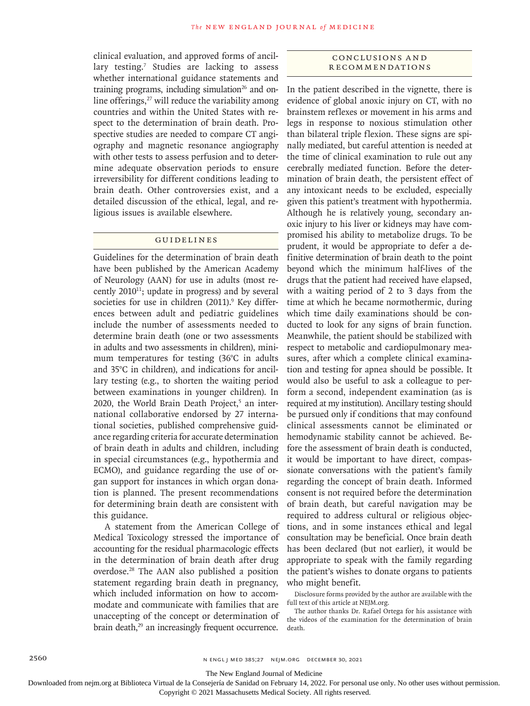clinical evaluation, and approved forms of ancillary testing.<sup>7</sup> Studies are lacking to assess whether international guidance statements and training programs, including simulation $26$  and online offerings, $27$  will reduce the variability among countries and within the United States with respect to the determination of brain death. Prospective studies are needed to compare CT angiography and magnetic resonance angiography with other tests to assess perfusion and to determine adequate observation periods to ensure irreversibility for different conditions leading to brain death. Other controversies exist, and a detailed discussion of the ethical, legal, and religious issues is available elsewhere.

# Guidelines

Guidelines for the determination of brain death have been published by the American Academy of Neurology (AAN) for use in adults (most recently  $2010^{11}$ ; update in progress) and by several societies for use in children (2011).<sup>9</sup> Key differences between adult and pediatric guidelines include the number of assessments needed to determine brain death (one or two assessments in adults and two assessments in children), minimum temperatures for testing (36°C in adults and 35°C in children), and indications for ancillary testing (e.g., to shorten the waiting period between examinations in younger children). In 2020, the World Brain Death Project,<sup>5</sup> an international collaborative endorsed by 27 international societies, published comprehensive guidance regarding criteria for accurate determination of brain death in adults and children, including in special circumstances (e.g., hypothermia and ECMO), and guidance regarding the use of organ support for instances in which organ donation is planned. The present recommendations for determining brain death are consistent with this guidance.

A statement from the American College of Medical Toxicology stressed the importance of accounting for the residual pharmacologic effects in the determination of brain death after drug overdose.28 The AAN also published a position statement regarding brain death in pregnancy, which included information on how to accommodate and communicate with families that are unaccepting of the concept or determination of brain death,<sup>29</sup> an increasingly frequent occurrence.

# Conclusions a nd Recommendations

In the patient described in the vignette, there is evidence of global anoxic injury on CT, with no brainstem reflexes or movement in his arms and legs in response to noxious stimulation other than bilateral triple flexion. These signs are spinally mediated, but careful attention is needed at the time of clinical examination to rule out any cerebrally mediated function. Before the determination of brain death, the persistent effect of any intoxicant needs to be excluded, especially given this patient's treatment with hypothermia. Although he is relatively young, secondary anoxic injury to his liver or kidneys may have compromised his ability to metabolize drugs. To be prudent, it would be appropriate to defer a definitive determination of brain death to the point beyond which the minimum half-lives of the drugs that the patient had received have elapsed, with a waiting period of 2 to 3 days from the time at which he became normothermic, during which time daily examinations should be conducted to look for any signs of brain function. Meanwhile, the patient should be stabilized with respect to metabolic and cardiopulmonary measures, after which a complete clinical examination and testing for apnea should be possible. It would also be useful to ask a colleague to perform a second, independent examination (as is required at my institution). Ancillary testing should be pursued only if conditions that may confound clinical assessments cannot be eliminated or hemodynamic stability cannot be achieved. Before the assessment of brain death is conducted, it would be important to have direct, compassionate conversations with the patient's family regarding the concept of brain death. Informed consent is not required before the determination of brain death, but careful navigation may be required to address cultural or religious objections, and in some instances ethical and legal consultation may be beneficial. Once brain death has been declared (but not earlier), it would be appropriate to speak with the family regarding the patient's wishes to donate organs to patients who might benefit.

Disclosure forms provided by the author are available with the full text of this article at NEJM.org.

The author thanks Dr. Rafael Ortega for his assistance with the videos of the examination for the determination of brain death.

The New England Journal of Medicine

Downloaded from nejm.org at Biblioteca Virtual de la Consejería de Sanidad on February 14, 2022. For personal use only. No other uses without permission.